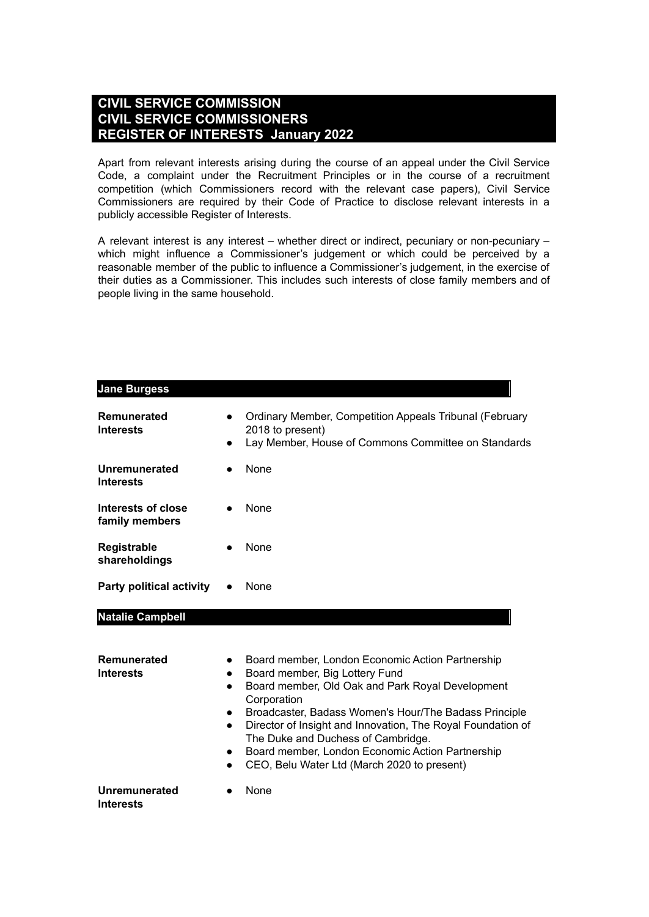### **CIVIL SERVICE COMMISSION CIVIL SERVICE COMMISSIONERS REGISTER OF INTERESTS January 2022**

Apart from relevant interests arising during the course of an appeal under the Civil Service Code, a complaint under the Recruitment Principles or in the course of a recruitment competition (which Commissioners record with the relevant case papers), Civil Service Commissioners are required by their Code of Practice to disclose relevant interests in a publicly accessible Register of Interests.

A relevant interest is any interest – whether direct or indirect, pecuniary or non-pecuniary – which might influence a Commissioner's judgement or which could be perceived by a reasonable member of the public to influence a Commissioner's judgement, in the exercise of their duties as a Commissioner. This includes such interests of close family members and of people living in the same household.

| <b>Jane Burgess</b>                  |                                                               |                                                                                                                                                                                                                                                                                                                                                                                                                        |
|--------------------------------------|---------------------------------------------------------------|------------------------------------------------------------------------------------------------------------------------------------------------------------------------------------------------------------------------------------------------------------------------------------------------------------------------------------------------------------------------------------------------------------------------|
| Remunerated<br><b>Interests</b>      | $\bullet$                                                     | Ordinary Member, Competition Appeals Tribunal (February<br>2018 to present)<br>Lay Member, House of Commons Committee on Standards                                                                                                                                                                                                                                                                                     |
| Unremunerated<br><b>Interests</b>    |                                                               | None                                                                                                                                                                                                                                                                                                                                                                                                                   |
| Interests of close<br>family members |                                                               | None                                                                                                                                                                                                                                                                                                                                                                                                                   |
| Registrable<br>shareholdings         |                                                               | <b>None</b>                                                                                                                                                                                                                                                                                                                                                                                                            |
| <b>Party political activity</b>      |                                                               | None                                                                                                                                                                                                                                                                                                                                                                                                                   |
| <b>Natalie Campbell</b>              |                                                               |                                                                                                                                                                                                                                                                                                                                                                                                                        |
| Remunerated<br><b>Interests</b>      | $\bullet$<br>$\bullet$<br>$\bullet$<br>$\bullet$<br>$\bullet$ | Board member, London Economic Action Partnership<br>Board member, Big Lottery Fund<br>Board member, Old Oak and Park Royal Development<br>Corporation<br>Broadcaster, Badass Women's Hour/The Badass Principle<br>Director of Insight and Innovation, The Royal Foundation of<br>The Duke and Duchess of Cambridge.<br>Board member, London Economic Action Partnership<br>CEO, Belu Water Ltd (March 2020 to present) |
| Unremunerated<br><b>Interests</b>    |                                                               | None                                                                                                                                                                                                                                                                                                                                                                                                                   |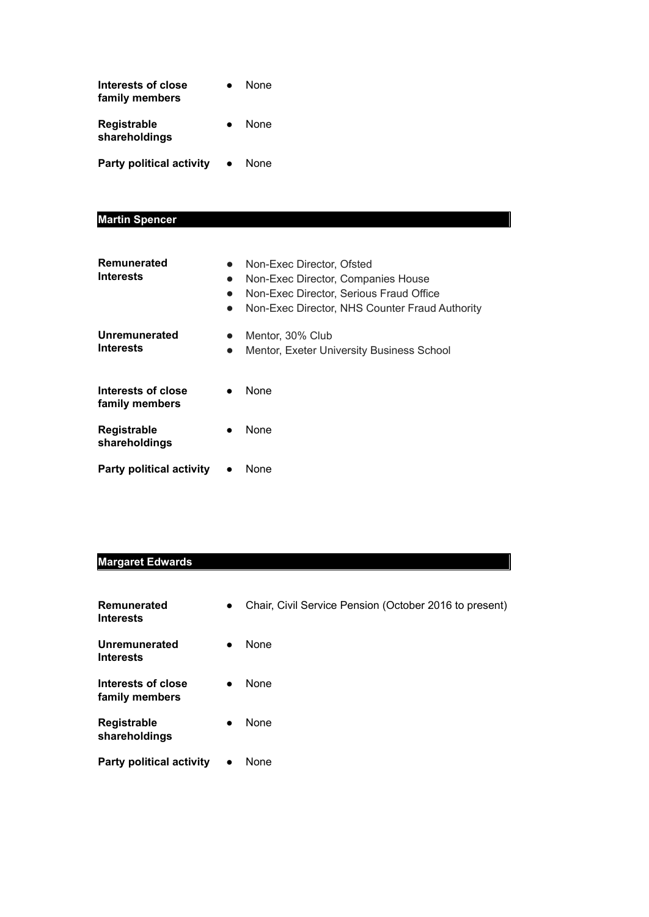| Interests of close<br>family members | None        |
|--------------------------------------|-------------|
| Registrable<br>shareholdings         | <b>None</b> |
| <b>Party political activity</b>      | <b>None</b> |

#### **Martin Spencer**

| Remunerated<br><b>Interests</b>      | $\bullet$<br>$\bullet$<br>$\bullet$<br>D | Non-Exec Director, Ofsted<br>Non-Exec Director, Companies House<br>Non-Exec Director. Serious Fraud Office<br>Non-Exec Director, NHS Counter Fraud Authority |
|--------------------------------------|------------------------------------------|--------------------------------------------------------------------------------------------------------------------------------------------------------------|
| Unremunerated<br><b>Interests</b>    | $\bullet$<br>$\bullet$                   | Mentor, 30% Club<br>Mentor, Exeter University Business School                                                                                                |
| Interests of close<br>family members | $\bullet$                                | None                                                                                                                                                         |
| <b>Registrable</b><br>shareholdings  |                                          | <b>None</b>                                                                                                                                                  |
| <b>Party political activity</b>      |                                          | None                                                                                                                                                         |

# **Margaret Edwards**

| Remunerated<br><b>Interests</b>      | $\bullet$ | Chair, Civil Service Pension (October 2016 to present) |
|--------------------------------------|-----------|--------------------------------------------------------|
| Unremunerated<br><b>Interests</b>    | $\bullet$ | None                                                   |
| Interests of close<br>family members | $\bullet$ | <b>None</b>                                            |
| Registrable<br>shareholdings         | $\bullet$ | None                                                   |
| <b>Party political activity</b>      |           | None                                                   |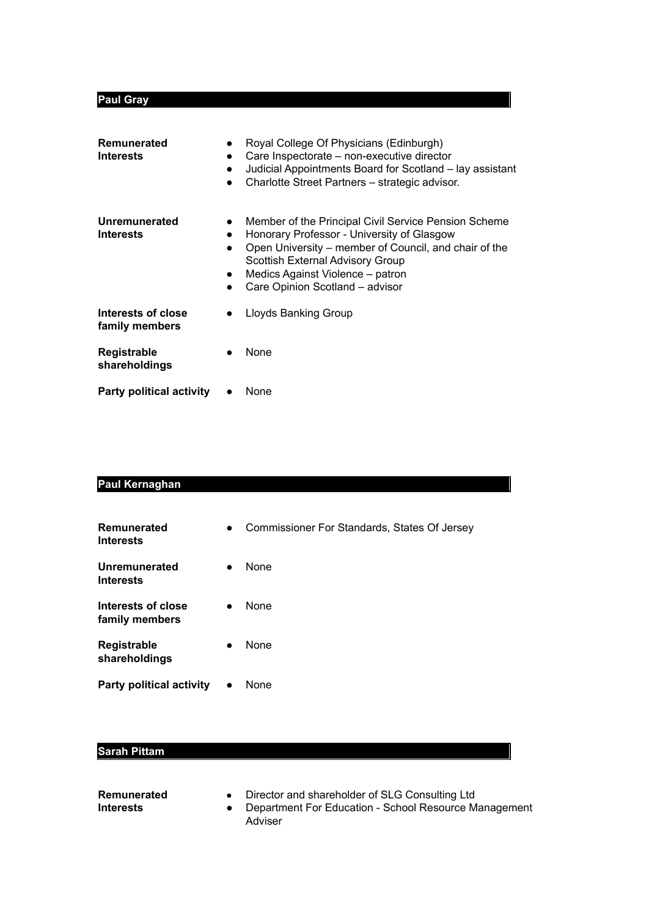## **Paul Gray**

| <b>Remunerated</b><br><b>Interests</b><br>$\bullet$<br>$\bullet$ | Royal College Of Physicians (Edinburgh)<br>Care Inspectorate - non-executive director<br>Judicial Appointments Board for Scotland - lay assistant<br>Charlotte Street Partners - strategic advisor.                                                                    |
|------------------------------------------------------------------|------------------------------------------------------------------------------------------------------------------------------------------------------------------------------------------------------------------------------------------------------------------------|
| Unremunerated<br><b>Interests</b><br>$\bullet$<br>$\bullet$      | Member of the Principal Civil Service Pension Scheme<br>Honorary Professor - University of Glasgow<br>Open University – member of Council, and chair of the<br>Scottish External Advisory Group<br>Medics Against Violence – patron<br>Care Opinion Scotland - advisor |
| Interests of close<br>family members                             | Lloyds Banking Group                                                                                                                                                                                                                                                   |
| Registrable<br>shareholdings                                     | None                                                                                                                                                                                                                                                                   |
| <b>Party political activity</b>                                  | None                                                                                                                                                                                                                                                                   |

#### **Paul Kernaghan**

| Remunerated<br><b>Interests</b>      | $\bullet$ | Commissioner For Standards, States Of Jersey |
|--------------------------------------|-----------|----------------------------------------------|
| Unremunerated<br><b>Interests</b>    | $\bullet$ | <b>None</b>                                  |
| Interests of close<br>family members | $\bullet$ | <b>None</b>                                  |
| <b>Registrable</b><br>shareholdings  | $\bullet$ | None                                         |
| <b>Party political activity</b>      |           | None                                         |

## **Sarah Pittam**

| Remunerated<br>Interests | Director and shareholder of SLG Consulting Ltd<br>Department For Education - School Resource Management |
|--------------------------|---------------------------------------------------------------------------------------------------------|
|                          | Adviser                                                                                                 |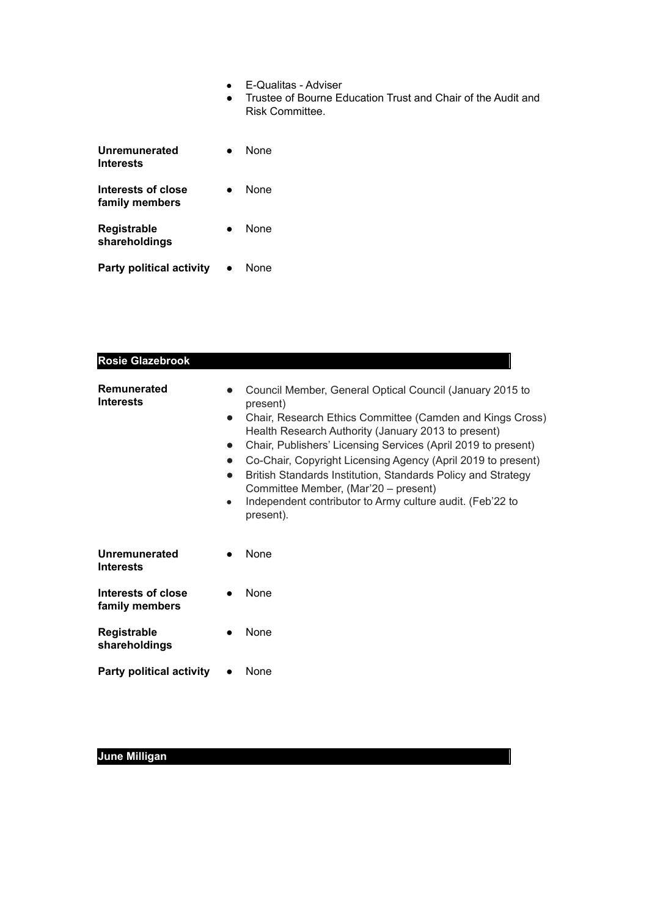- E-Qualitas Adviser
- Trustee of Bourne Education Trust and Chair of the Audit and Risk Committee.

| Unremunerated<br><b>Interests</b>    | None |
|--------------------------------------|------|
| Interests of close<br>family members | None |
| Registrable<br>shareholdings         | None |
| <b>Party political activity</b>      | None |

| <b>Rosie Glazebrook</b>              |                                                  |                                                                                                                                                                                                                                                                                                                                                                                                                                                                                                             |
|--------------------------------------|--------------------------------------------------|-------------------------------------------------------------------------------------------------------------------------------------------------------------------------------------------------------------------------------------------------------------------------------------------------------------------------------------------------------------------------------------------------------------------------------------------------------------------------------------------------------------|
| Remunerated<br><b>Interests</b>      | $\bullet$<br>$\bullet$<br>$\bullet$<br>$\bullet$ | Council Member, General Optical Council (January 2015 to<br>present)<br>Chair, Research Ethics Committee (Camden and Kings Cross)<br>Health Research Authority (January 2013 to present)<br>Chair, Publishers' Licensing Services (April 2019 to present)<br>Co-Chair, Copyright Licensing Agency (April 2019 to present)<br>British Standards Institution, Standards Policy and Strategy<br>Committee Member, (Mar'20 - present)<br>Independent contributor to Army culture audit. (Feb'22 to<br>present). |
| Unremunerated<br><b>Interests</b>    |                                                  | None                                                                                                                                                                                                                                                                                                                                                                                                                                                                                                        |
| Interests of close<br>family members |                                                  | None                                                                                                                                                                                                                                                                                                                                                                                                                                                                                                        |
| Registrable<br>shareholdings         |                                                  | None                                                                                                                                                                                                                                                                                                                                                                                                                                                                                                        |
| <b>Party political activity</b>      |                                                  | None                                                                                                                                                                                                                                                                                                                                                                                                                                                                                                        |

# **June Milligan**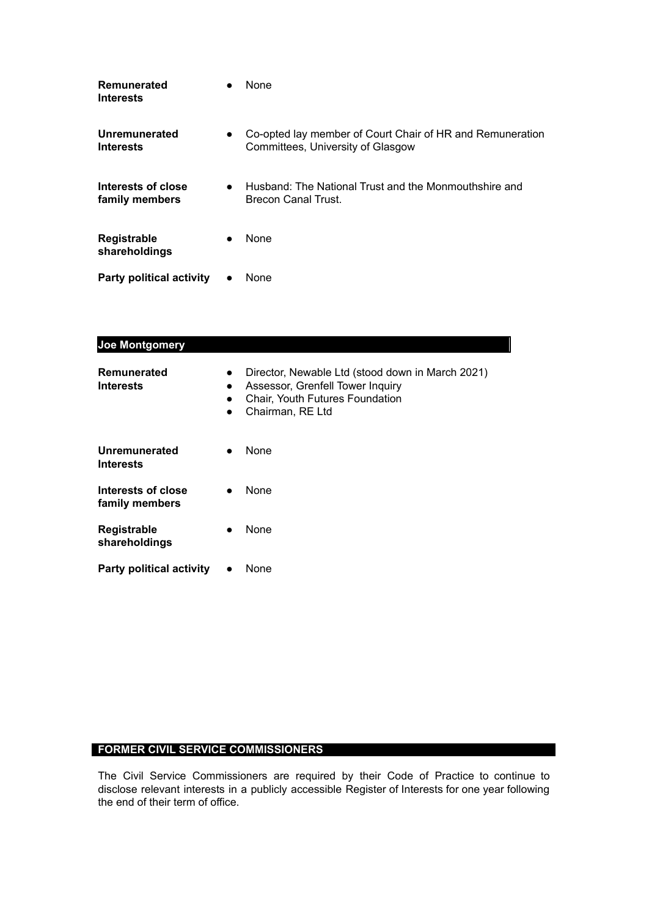| Remunerated<br><b>Interests</b>      |           | <b>None</b>                                                                                    |
|--------------------------------------|-----------|------------------------------------------------------------------------------------------------|
| Unremunerated<br><b>Interests</b>    | $\bullet$ | Co-opted lay member of Court Chair of HR and Remuneration<br>Committees, University of Glasgow |
| Interests of close<br>family members | $\bullet$ | Husband: The National Trust and the Monmouthshire and<br>Brecon Canal Trust.                   |
| <b>Registrable</b><br>shareholdings  | $\bullet$ | None                                                                                           |
| <b>Party political activity</b>      | $\bullet$ | None                                                                                           |

| Joe Montgomery                         |                                                  |                                                                                                                                             |
|----------------------------------------|--------------------------------------------------|---------------------------------------------------------------------------------------------------------------------------------------------|
| <b>Remunerated</b><br><b>Interests</b> | $\bullet$<br>$\bullet$<br>$\bullet$<br>$\bullet$ | Director, Newable Ltd (stood down in March 2021)<br>Assessor, Grenfell Tower Inquiry<br>Chair, Youth Futures Foundation<br>Chairman, RE Ltd |
| Unremunerated<br><b>Interests</b>      |                                                  | None                                                                                                                                        |
| Interests of close<br>family members   |                                                  | None                                                                                                                                        |
| <b>Registrable</b><br>shareholdings    |                                                  | None                                                                                                                                        |
| <b>Party political activity</b>        |                                                  | None                                                                                                                                        |

#### **FORMER CIVIL SERVICE COMMISSIONERS**

The Civil Service Commissioners are required by their Code of Practice to continue to disclose relevant interests in a publicly accessible Register of Interests for one year following the end of their term of office.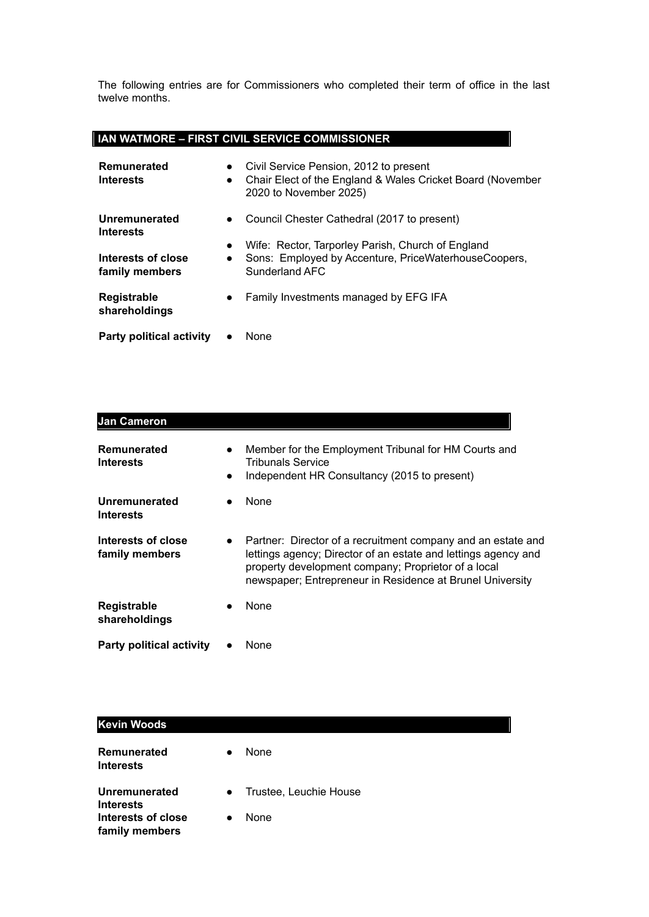The following entries are for Commissioners who completed their term of office in the last twelve months.

#### **IAN WATMORE – FIRST CIVIL SERVICE COMMISSIONER**

| Remunerated<br><b>Interests</b>      | $\bullet$<br>$\bullet$ | Civil Service Pension, 2012 to present<br>Chair Elect of the England & Wales Cricket Board (November<br>2020 to November 2025) |
|--------------------------------------|------------------------|--------------------------------------------------------------------------------------------------------------------------------|
| Unremunerated<br><b>Interests</b>    | $\bullet$              | Council Chester Cathedral (2017 to present)                                                                                    |
| Interests of close<br>family members | $\bullet$<br>$\bullet$ | Wife: Rector, Tarporley Parish, Church of England<br>Sons: Employed by Accenture, PriceWaterhouseCoopers,<br>Sunderland AFC    |
| Registrable<br>shareholdings         | $\bullet$              | Family Investments managed by EFG IFA                                                                                          |
| <b>Party political activity</b>      |                        | None                                                                                                                           |

| <b>Jan Cameron</b>                       |                                                                                                                                                                                                                                                    |  |
|------------------------------------------|----------------------------------------------------------------------------------------------------------------------------------------------------------------------------------------------------------------------------------------------------|--|
| Remunerated<br><b>Interests</b>          | Member for the Employment Tribunal for HM Courts and<br><b>Tribunals Service</b><br>Independent HR Consultancy (2015 to present)                                                                                                                   |  |
| <b>Unremunerated</b><br><b>Interests</b> | None                                                                                                                                                                                                                                               |  |
| Interests of close<br>family members     | Partner: Director of a recruitment company and an estate and<br>lettings agency; Director of an estate and lettings agency and<br>property development company; Proprietor of a local<br>newspaper; Entrepreneur in Residence at Brunel University |  |
| <b>Registrable</b><br>shareholdings      | None                                                                                                                                                                                                                                               |  |
| <b>Party political activity</b>          | None                                                                                                                                                                                                                                               |  |

| <b>Kevin Woods</b>                       |           |                          |
|------------------------------------------|-----------|--------------------------|
| Remunerated<br><b>Interests</b>          | $\bullet$ | None                     |
| <b>Unremunerated</b><br><b>Interests</b> |           | • Trustee, Leuchie House |
| Interests of close                       |           | None                     |

**family members**